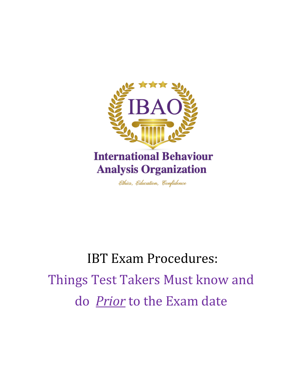

Ethics, Education, Confidence

# IBT Exam Procedures: Things Test Takers Must know and do *Prior* to the Exam date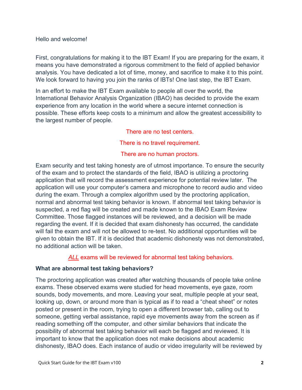Hello and welcome!

First, congratulations for making it to the IBT Exam! If you are preparing for the exam, it means you have demonstrated a rigorous commitment to the field of applied behavior analysis. You have dedicated a lot of time, money, and sacrifice to make it to this point. We look forward to having you join the ranks of IBTs! One last step, the IBT Exam.

In an effort to make the IBT Exam available to people all over the world, the International Behavior Analysis Organization (IBAO) has decided to provide the exam experience from any location in the world where a secure internet connection is possible. These efforts keep costs to a minimum and allow the greatest accessibility to the largest number of people.

There are no test centers.

There is no travel requirement.

#### There are no human proctors.

Exam security and test taking honesty are of utmost importance. To ensure the security of the exam and to protect the standards of the field, IBAO is utilizing a proctoring application that will record the assessment experience for potential review later. The application will use your computer's camera and microphone to record audio and video during the exam. Through a complex algorithm used by the proctoring application, normal and abnormal test taking behavior is known. If abnormal test taking behavior is suspected, a red flag will be created and made known to the IBAO Exam Review Committee. Those flagged instances will be reviewed, and a decision will be made regarding the event. If it is decided that exam dishonesty has occurred, the candidate will fail the exam and will not be allowed to re-test. No additional opportunities will be given to obtain the IBT. If it is decided that academic dishonesty was not demonstrated, no additional action will be taken.

*ALL* exams will be reviewed for abnormal test taking behaviors.

## **What are abnormal test taking behaviors?**

The proctoring application was created after watching thousands of people take online exams. These observed exams were studied for head movements, eye gaze, room sounds, body movements, and more. Leaving your seat, multiple people at your seat, looking up, down, or around more than is typical as if to read a "cheat sheet" or notes posted or present in the room, trying to open a different browser tab, calling out to someone, getting verbal assistance, rapid eye movements away from the screen as if reading something off the computer, and other similar behaviors that indicate the possibility of abnormal test taking behavior will each be flagged and reviewed. It is important to know that the application does not make decisions about academic dishonesty, IBAO does. Each instance of audio or video irregularity will be reviewed by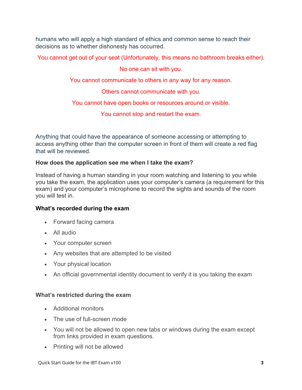humans who will apply a high standard of ethics and common sense to reach their decisions as to whether dishonesty has occurred.

You cannot get out of your seat (Unfortunately, this means no bathroom breaks either).

No one can sit with you.

You cannot communicate to others in any way for any reason.

Others cannot communicate with you.

You cannot have open books or resources around or visible.

You cannot stop and restart the exam.

Anything that could have the appearance of someone accessing or attempting to access anything other than the computer screen in front of them will create a red flag that will be reviewed.

## **How does the application see me when I take the exam?**

Instead of having a human standing in your room watching and listening to you while you take the exam, the application uses your computer's camera (a requirement for this exam) and your computer's microphone to record the sights and sounds of the room you will test in.

## **What's recorded during the exam**

- Forward facing camera
- All audio
- Your computer screen
- Any websites that are attempted to be visited
- Your physical location
- An official governmental identity document to verify it is you taking the exam

## **What's restricted during the exam**

- Additional monitors
- The use of full-screen mode
- You will not be allowed to open new tabs or windows during the exam except from links provided in exam questions.
- Printing will not be allowed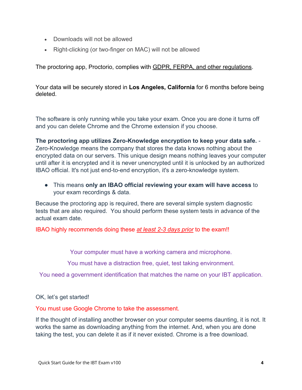- Downloads will not be allowed
- Right-clicking (or two-finger on MAC) will not be allowed

The proctoring app, Proctorio, complies with **GDPR, FERPA**, and other regulations.

Your data will be securely stored in **Los Angeles, California** for 6 months before being deleted.

The software is only running while you take your exam. Once you are done it turns off and you can delete Chrome and the Chrome extension if you choose.

**The proctoring app utilizes Zero-Knowledge encryption to keep your data safe.** - Zero-Knowledge means the company that stores the data knows nothing about the encrypted data on our servers. This unique design means nothing leaves your computer until after it is encrypted and it is never unencrypted until it is unlocked by an authorized IBAO official. It's not just end-to-end encryption, it's a zero-knowledge system.

● This means **only an IBAO official reviewing your exam will have access** to your exam recordings & data.

Because the proctoring app is required, there are several simple system diagnostic tests that are also required. You should perform these system tests in advance of the actual exam date.

IBAO highly recommends doing these *at least 2-3 days prior* to the exam!!

Your computer must have a working camera and microphone.

You must have a distraction free, quiet, test taking environment.

You need a government identification that matches the name on your IBT application.

OK, let's get started!

You must use Google Chrome to take the assessment.

If the thought of installing another browser on your computer seems daunting, it is not. It works the same as downloading anything from the internet. And, when you are done taking the test, you can delete it as if it never existed. Chrome is a free download.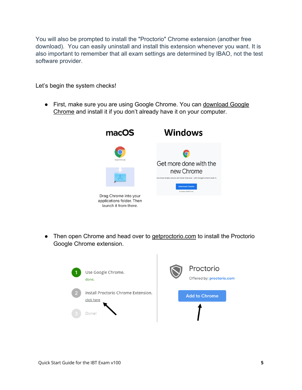You will also be prompted to install the "Proctorio" Chrome extension (another free download). You can easily uninstall and install this extension whenever you want. It is also important to remember that all exam settings are determined by IBAO, not the test software provider.

Let's begin the system checks!

● First, make sure you are using Google Chrome. You can download Google Chrome and install it if you don't already have it on your computer.



● Then open Chrome and head over to getproctorio.com to install the Proctorio Google Chrome extension.

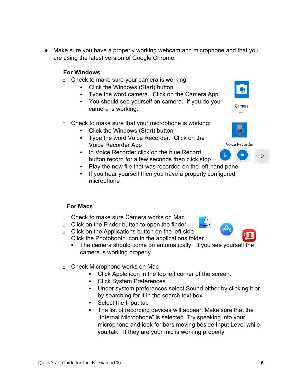● Make sure you have a properly working webcam and microphone and that you are using the latest version of Google Chrome:

## **For Windows**

- o Check to make sure your camera is working:
	- Click the Windows (Start) button
	- Type the word camera. Click on the Camera App
	- You should see yourself on camera. If you do your camera is working.
- o Check to make sure that your microphone is working:
	- Click the Windows (Start) button
	- Type the word Voice Recorder. Click on the Voice Recorder App
	- In Voice Recorder click on the blue Record button record for a few seconds then click stop.
	- Play the new file that was recorded on the left-hand pane.
	- If you hear yourself then you have a properly configured microphone

## **For Macs**

- o Check to make sure Camera works on Mac
- o Click on the Finder button to open the finder
- o Click on the Applications button on the left side
- o Click the Photobooth icon in the applications folder.
	- The camera should come on automatically. If you see yourself the camera is working properly.
- o Check Microphone works on Mac
	- Click Apple icon in the top left corner of the screen.
	- Click System Preferences
	- Under system preferences select Sound either by clicking it or by searching for it in the search text box.
	- Select the Input tab
	- The list of recording devices will appear. Make sure that the "Internal Microphone" is selected. Try speaking into your microphone and look for bars moving beside Input Level while you talk. If they are your mic is working properly





App

Voice Recorder





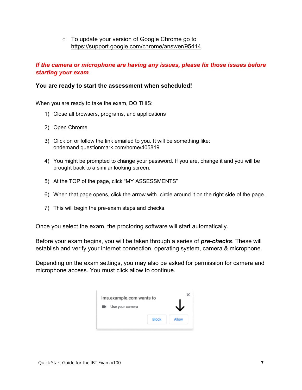o To update your version of Google Chrome go to https://support.google.com/chrome/answer/95414

## *If the camera or microphone are having any issues, please fix those issues before starting your exam*

#### **You are ready to start the assessment when scheduled!**

When you are ready to take the exam, DO THIS:

- 1) Close all browsers, programs, and applications
- 2) Open Chrome
- 3) Click on or follow the link emailed to you. It will be something like: ondemand.questionmark.com/home/405819
- 4) You might be prompted to change your password. If you are, change it and you will be brought back to a similar looking screen.
- 5) At the TOP of the page, click "MY ASSESSMENTS"
- 6) When that page opens, click the arrow with circle around it on the right side of the page.
- 7) This will begin the pre-exam steps and checks.

Once you select the exam, the proctoring software will start automatically.

Before your exam begins, you will be taken through a series of *pre-checks*. These will establish and verify your internet connection, operating system, camera & microphone.

Depending on the exam settings, you may also be asked for permission for camera and microphone access. You must click allow to continue.

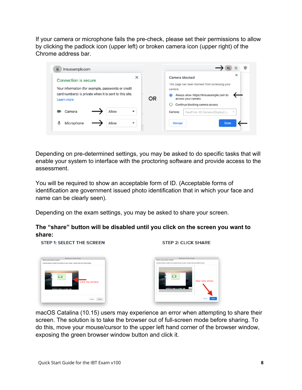If your camera or microphone fails the pre-check, please set their permissions to allow by clicking the padlock icon (upper left) or broken camera icon (upper right) of the Chrome address bar.

| <b>Connection is secure</b>                                          | ×         | ×<br>Camera blocked                                                        |
|----------------------------------------------------------------------|-----------|----------------------------------------------------------------------------|
| Your information (for example, passwords or credit                   |           | This page has been blocked from accessing your<br>camera.                  |
| card numbers) is private when it is sent to this site.<br>Learn more | <b>OR</b> | Always allow https://lms.example.com to<br>$\bullet$<br>access your camera |
|                                                                      |           | Continue blocking camera access                                            |
| Allow<br>Camera                                                      |           | FaceTime HD Camera (Display) (<br>Camera:<br>$\mathcal{L}$                 |
| Microphone<br>Allow                                                  |           |                                                                            |

Depending on pre-determined settings, you may be asked to do specific tasks that will enable your system to interface with the proctoring software and provide access to the assessment.

You will be required to show an acceptable form of ID. (Acceptable forms of identification are government issued photo identification that in which your face and name can be clearly seen).

Depending on the exam settings, you may be asked to share your screen.

# **The "share" button will be disabled until you click on the screen you want to share:**

**STEP 1: SELECT THE SCREEN** 



.<br>Shara you ir amfina e.com

**STEP 2: CLICK SHARE** 

macOS Catalina (10.15) users may experience an error when attempting to share their screen. The solution is to take the browser out of full-screen mode before sharing. To do this, move your mouse/cursor to the upper left hand corner of the browser window, exposing the green browser window button and click it.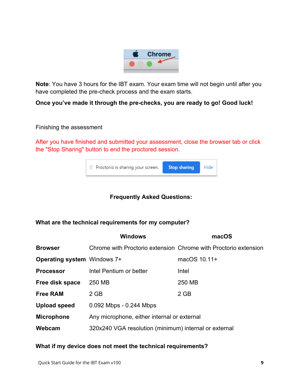

**Note**: You have 3 hours for the IBT exam. Your exam time will not begin until after you have completed the pre-check process and the exam starts.

**Once you've made it through the pre-checks, you are ready to go! Good luck!**

Finishing the assessment

After you have finished and submitted your assessment, close the browser tab or click the "Stop Sharing" button to end the proctored session.



# **Frequently Asked Questions:**

## **What are the technical requirements for my computer?**

|                                    | <b>Windows</b>                                                  | macOS        |  |
|------------------------------------|-----------------------------------------------------------------|--------------|--|
| <b>Browser</b>                     | Chrome with Proctorio extension Chrome with Proctorio extension |              |  |
| <b>Operating system Windows 7+</b> |                                                                 | macOS 10.11+ |  |
| <b>Processor</b>                   | Intel Pentium or better                                         | Intel        |  |
| Free disk space                    | 250 MB                                                          | 250 MB       |  |
| <b>Free RAM</b>                    | $2$ GB                                                          | $2$ GB       |  |
| <b>Upload speed</b>                | $0.092$ Mbps - $0.244$ Mbps                                     |              |  |
| <b>Microphone</b>                  | Any microphone, either internal or external                     |              |  |
| Webcam                             | 320x240 VGA resolution (minimum) internal or external           |              |  |
|                                    |                                                                 |              |  |

## **What if my device does not meet the technical requirements?**

Quick Start Guide for the IBT Exam v100 **9**